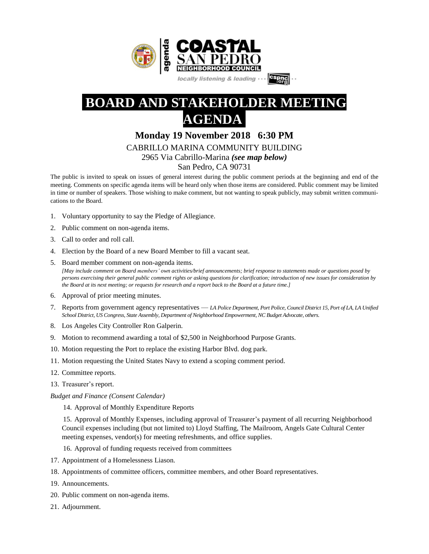

# **BOARD AND STAKEHOLDER MEETING AGENDA**

# **Monday 19 November 2018 6:30 PM**

# CABRILLO MARINA COMMUNITY BUILDING

2965 Via Cabrillo-Marina *(see map below)*

### San Pedro, CA 90731

The public is invited to speak on issues of general interest during the public comment periods at the beginning and end of the meeting. Comments on specific agenda items will be heard only when those items are considered. Public comment may be limited in time or number of speakers. Those wishing to make comment, but not wanting to speak publicly, may submit written communications to the Board.

- 1. Voluntary opportunity to say the Pledge of Allegiance.
- 2. Public comment on non-agenda items.
- 3. Call to order and roll call.
- 4. Election by the Board of a new Board Member to fill a vacant seat.
- 5. Board member comment on non-agenda items. [May include comment on Board members' own activities/brief announcements; brief response to statements made or questions posed by persons exercising their general public comment rights or asking questions for clarification; introduction of new issues for consideration by the Board at its next meeting; or requests for research and a report back to the Board at a future time.]
- 6. Approval of prior meeting minutes.
- 7. Reports from government agency representatives *LA Police Department, Port Police, Council District 15, Port of LA, LA Unified School District, US Congress, State Assembly, Department of Neighborhood Empowerment, NC Budget Advocate, others.*
- 8. Los Angeles City Controller Ron Galperin.
- 9. Motion to recommend awarding a total of \$2,500 in Neighborhood Purpose Grants.
- 10. Motion requesting the Port to replace the existing Harbor Blvd. dog park.
- 11. Motion requesting the United States Navy to extend a scoping comment period.
- 12. Committee reports.
- 13. Treasurer's report.

*Budget and Finance (Consent Calendar)*

14. Approval of Monthly Expenditure Reports

15. Approval of Monthly Expenses, including approval of Treasurer's payment of all recurring Neighborhood Council expenses including (but not limited to) Lloyd Staffing, The Mailroom, Angels Gate Cultural Center meeting expenses, vendor(s) for meeting refreshments, and office supplies.

- 16. Approval of funding requests received from committees
- 17. Appointment of a Homelessness Liason.
- 18. Appointments of committee officers, committee members, and other Board representatives.
- 19. Announcements.
- 20. Public comment on non-agenda items.
- 21. Adjournment.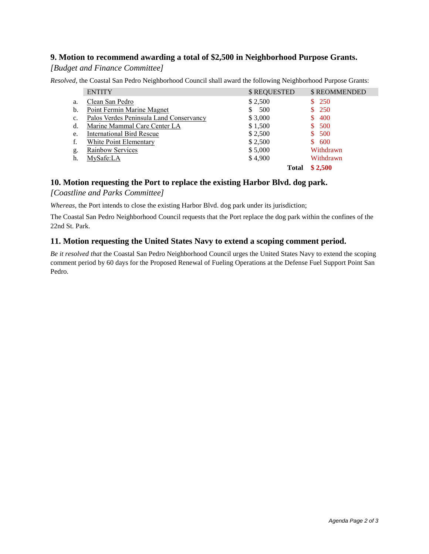# **9. Motion to recommend awarding a total of \$2,500 in Neighborhood Purpose Grants.**

#### *[Budget and Finance Committee]*

*Resolved,* the Coastal San Pedro Neighborhood Council shall award the following Neighborhood Purpose Grants:

|                | <b>ENTITY</b>                           | \$ REQUESTED | \$REOMMENDED |
|----------------|-----------------------------------------|--------------|--------------|
| a.             | Clean San Pedro                         | \$2,500      | \$250        |
| b.             | Point Fermin Marine Magnet              | - 500<br>S.  | \$250        |
| $\mathbf{c}$ . | Palos Verdes Peninsula Land Conservancy | \$3,000      | 400          |
| d.             | Marine Mammal Care Center LA            | \$1,500      | 500<br>\$    |
| e.             | <b>International Bird Rescue</b>        | \$2,500      | 500<br>S.    |
| f.             | White Point Elementary                  | \$2,500      | 600<br>S.    |
| g.             | Rainbow Services                        | \$5,000      | Withdrawn    |
| h.             | MySafe:LA                               | \$4,900      | Withdrawn    |
|                |                                         | Total        | \$2.500      |

### **10. Motion requesting the Port to replace the existing Harbor Blvd. dog park.**

#### *[Coastline and Parks Committee]*

*Whereas,* the Port intends to close the existing Harbor Blvd. dog park under its jurisdiction;

The Coastal San Pedro Neighborhood Council requests that the Port replace the dog park within the confines of the 22nd St. Park.

#### **11. Motion requesting the United States Navy to extend a scoping comment period.**

*Be it resolved that* the Coastal San Pedro Neighborhood Council urges the United States Navy to extend the scoping comment period by 60 days for the Proposed Renewal of Fueling Operations at the Defense Fuel Support Point San Pedro.